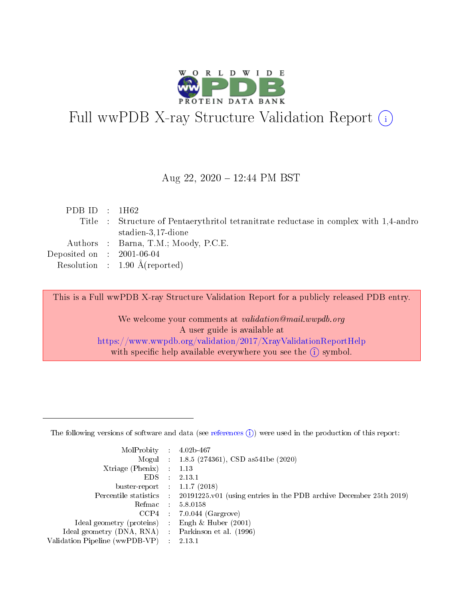

# Full wwPDB X-ray Structure Validation Report (i)

#### Aug 22, 2020 12:44 PM BST

| PDB ID : $1H62$                                                                       |  |
|---------------------------------------------------------------------------------------|--|
| Title : Structure of Pentaerythritol tetranitrate reductase in complex with 1,4-andro |  |
| stadien-3,17-dione                                                                    |  |
| Authors : Barna, T.M.; Moody, P.C.E.                                                  |  |
| Deposited on : $2001-06-04$                                                           |  |
| Resolution : $1.90 \text{ Å}$ (reported)                                              |  |

This is a Full wwPDB X-ray Structure Validation Report for a publicly released PDB entry.

We welcome your comments at validation@mail.wwpdb.org A user guide is available at <https://www.wwpdb.org/validation/2017/XrayValidationReportHelp> with specific help available everywhere you see the  $(i)$  symbol.

The following versions of software and data (see [references](https://www.wwpdb.org/validation/2017/XrayValidationReportHelp#references)  $(1)$ ) were used in the production of this report:

| MolProbity                     | $\mathcal{L}_{\mathrm{eff}}$ | $4.02b - 467$                                                      |
|--------------------------------|------------------------------|--------------------------------------------------------------------|
|                                |                              | Mogul : $1.8.5$ (274361), CSD as 541be (2020)                      |
| $X$ triage (Phenix) :          |                              | 1.13                                                               |
| EDS.                           |                              | 2.13.1                                                             |
| buster-report : $1.1.7$ (2018) |                              |                                                                    |
| Percentile statistics :        |                              | 20191225.v01 (using entries in the PDB archive December 25th 2019) |
| Refmac                         |                              | 5.8.0158                                                           |
| CCP4                           |                              | $7.0.044$ (Gargrove)                                               |
| Ideal geometry (proteins) :    |                              | Engh $\&$ Huber (2001)                                             |
| Ideal geometry (DNA, RNA) :    |                              | Parkinson et al. (1996)                                            |
| Validation Pipeline (wwPDB-VP) |                              | 2.13.1                                                             |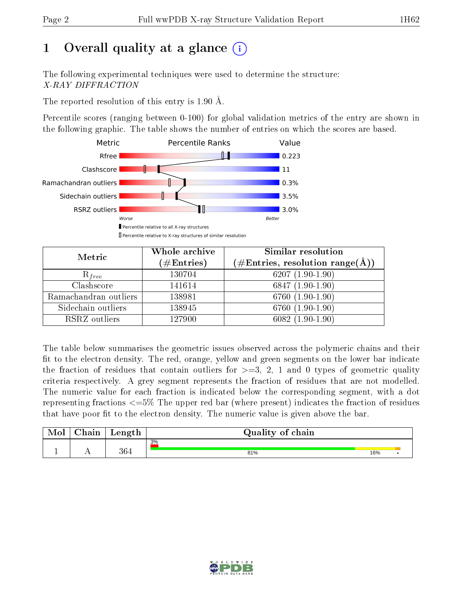## 1 [O](https://www.wwpdb.org/validation/2017/XrayValidationReportHelp#overall_quality)verall quality at a glance  $(i)$

The following experimental techniques were used to determine the structure: X-RAY DIFFRACTION

The reported resolution of this entry is 1.90 Å.

Percentile scores (ranging between 0-100) for global validation metrics of the entry are shown in the following graphic. The table shows the number of entries on which the scores are based.



| Metric                | Whole archive<br>$(\#\mathrm{Entries})$ | Similar resolution<br>$(\#\text{Entries}, \text{resolution range}(\textup{\AA}))$ |
|-----------------------|-----------------------------------------|-----------------------------------------------------------------------------------|
| $R_{free}$            | 130704                                  | $6207(1.90-1.90)$                                                                 |
| Clashscore            | 141614                                  | $6847(1.90-1.90)$                                                                 |
| Ramachandran outliers | 138981                                  | 6760 (1.90-1.90)                                                                  |
| Sidechain outliers    | 138945                                  | 6760 (1.90-1.90)                                                                  |
| RSRZ outliers         | 127900                                  | $6082(1.90-1.90)$                                                                 |

The table below summarises the geometric issues observed across the polymeric chains and their fit to the electron density. The red, orange, yellow and green segments on the lower bar indicate the fraction of residues that contain outliers for  $\geq =3$ , 2, 1 and 0 types of geometric quality criteria respectively. A grey segment represents the fraction of residues that are not modelled. The numeric value for each fraction is indicated below the corresponding segment, with a dot representing fractions  $\epsilon=5\%$  The upper red bar (where present) indicates the fraction of residues that have poor fit to the electron density. The numeric value is given above the bar.

| Mol | $\cap$ hain | Length | Quality of chain |     |  |
|-----|-------------|--------|------------------|-----|--|
|     |             |        | 3%               |     |  |
|     |             | 364    | 81%              | 16% |  |

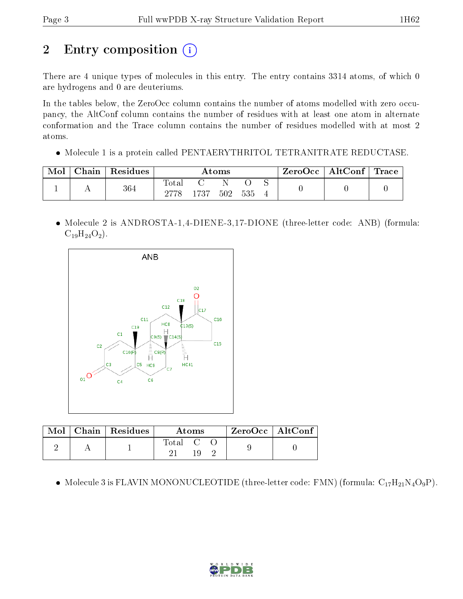# 2 Entry composition (i)

There are 4 unique types of molecules in this entry. The entry contains 3314 atoms, of which 0 are hydrogens and 0 are deuteriums.

In the tables below, the ZeroOcc column contains the number of atoms modelled with zero occupancy, the AltConf column contains the number of residues with at least one atom in alternate conformation and the Trace column contains the number of residues modelled with at most 2 atoms.

Molecule 1 is a protein called PENTAERYTHRITOL TETRANITRATE REDUCTASE.

| Mol | Chain | $\perp$ Residues | Atoms |      |     | ZeroOcc   AltConf   Trace |  |  |  |
|-----|-------|------------------|-------|------|-----|---------------------------|--|--|--|
|     |       | 364              | Total | 1737 | 502 | 535                       |  |  |  |

• Molecule 2 is ANDROSTA-1,4-DIENE-3,17-DIONE (three-letter code: ANB) (formula:  $C_{19}H_{24}O_2$ ).



|  | $\mid$ Mol $\mid$ Chain $\mid$ Residues $\mid$ | Atoms                             |  | $\rm ZeroOcc \mid AltConf$ |  |  |
|--|------------------------------------------------|-----------------------------------|--|----------------------------|--|--|
|  |                                                | $\mathrm{Total} \quad \mathrm{C}$ |  |                            |  |  |

• Molecule 3 is FLAVIN MONONUCLEOTIDE (three-letter code: FMN) (formula:  $C_{17}H_{21}N_4O_9P$ ).

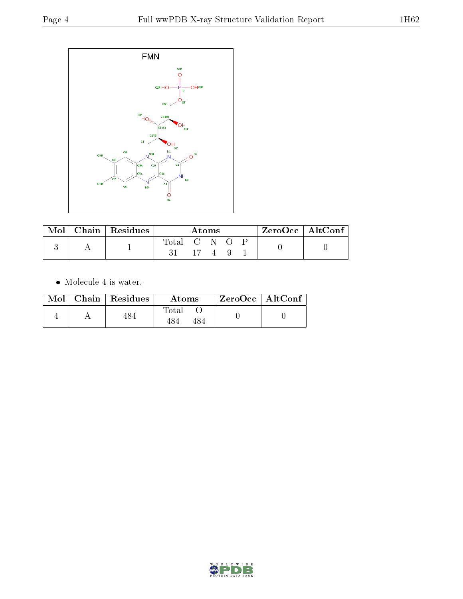

| Mol | Chain   Residues | Atoms     |  |  |  | $ZeroOcc \   \ AltConf \  $ |  |
|-----|------------------|-----------|--|--|--|-----------------------------|--|
|     |                  | Total C N |  |  |  |                             |  |

 $\bullet\,$  Molecule 4 is water.

|  | $Mol$   Chain   Residues | Atoms        | $ZeroOcc \mid AltConf \mid$ |
|--|--------------------------|--------------|-----------------------------|
|  | 484                      | Total<br>484 |                             |

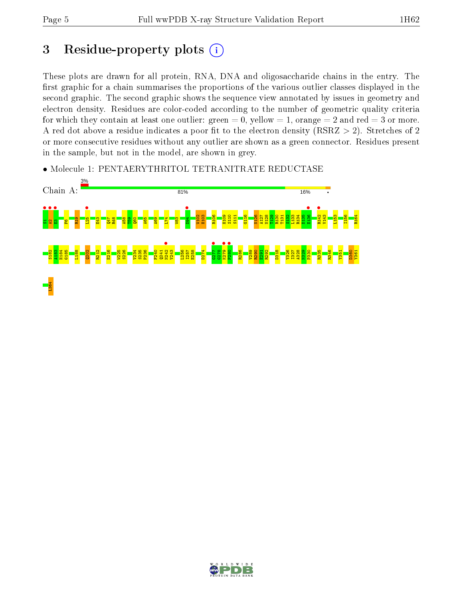## 3 Residue-property plots  $(i)$

These plots are drawn for all protein, RNA, DNA and oligosaccharide chains in the entry. The first graphic for a chain summarises the proportions of the various outlier classes displayed in the second graphic. The second graphic shows the sequence view annotated by issues in geometry and electron density. Residues are color-coded according to the number of geometric quality criteria for which they contain at least one outlier: green  $= 0$ , yellow  $= 1$ , orange  $= 2$  and red  $= 3$  or more. A red dot above a residue indicates a poor fit to the electron density ( $RSRZ > 2$ ). Stretches of 2 or more consecutive residues without any outlier are shown as a green connector. Residues present in the sample, but not in the model, are shown in grey.

• Molecule 1: PENTAERYTHRITOL TETRANITRATE REDUCTASE



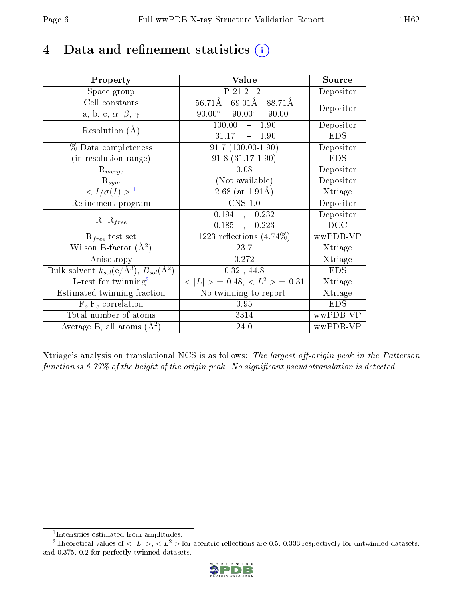## 4 Data and refinement statistics  $(i)$

| Property                                                         | Value                                            | Source     |
|------------------------------------------------------------------|--------------------------------------------------|------------|
| Space group                                                      | P 21 21 21                                       | Depositor  |
| Cell constants                                                   | $69.01\text{\AA}$<br>$56.71\text{\AA}$<br>88.71Å |            |
| a, b, c, $\alpha$ , $\beta$ , $\gamma$                           | $90.00^\circ$<br>$90.00^\circ$<br>$90.00^\circ$  | Depositor  |
| Resolution $(A)$                                                 | $100.00 -$<br>1.90                               | Depositor  |
|                                                                  | 31.17<br>$\equiv$<br>1.90                        | <b>EDS</b> |
| % Data completeness                                              | $91.7(100.00-1.90)$                              | Depositor  |
| (in resolution range)                                            | $91.8(31.17-1.90)$                               | <b>EDS</b> |
| $R_{merge}$                                                      | 0.08                                             | Depositor  |
| $\mathrm{R}_{sym}$                                               | (Not available)                                  | Depositor  |
| $\langle I/\sigma(I)\rangle^{-1}$                                | $2.68$ (at 1.91Å)                                | Xtriage    |
| Refinement program                                               | $CNS$ 1.0                                        | Depositor  |
| $R, R_{free}$                                                    | $0.194$ , $0.232$                                | Depositor  |
|                                                                  | 0.185,<br>0.223                                  | DCC        |
| $R_{free}$ test set                                              | 1223 reflections $(4.74\%)$                      | wwPDB-VP   |
| Wilson B-factor $(A^2)$                                          | 23.7                                             | Xtriage    |
| Anisotropy                                                       | 0.272                                            | Xtriage    |
| Bulk solvent $k_{sol}(\text{e}/\text{A}^3), B_{sol}(\text{A}^2)$ | $0.32$ , 44.8                                    | <b>EDS</b> |
| $L$ -test for twinning <sup>2</sup>                              | $< L >$ = 0.48, $< L2$ = 0.31                    | Xtriage    |
| Estimated twinning fraction                                      | No twinning to report.                           | Xtriage    |
| $F_o, F_c$ correlation                                           | 0.95                                             | <b>EDS</b> |
| Total number of atoms                                            | 3314                                             | wwPDB-VP   |
| Average B, all atoms $(A^2)$                                     | 24.0                                             | wwPDB-VP   |

Xtriage's analysis on translational NCS is as follows: The largest off-origin peak in the Patterson function is  $6.77\%$  of the height of the origin peak. No significant pseudotranslation is detected.

<sup>&</sup>lt;sup>2</sup>Theoretical values of  $\langle |L| \rangle$ ,  $\langle L^2 \rangle$  for acentric reflections are 0.5, 0.333 respectively for untwinned datasets, and 0.375, 0.2 for perfectly twinned datasets.



<span id="page-5-1"></span><span id="page-5-0"></span><sup>1</sup> Intensities estimated from amplitudes.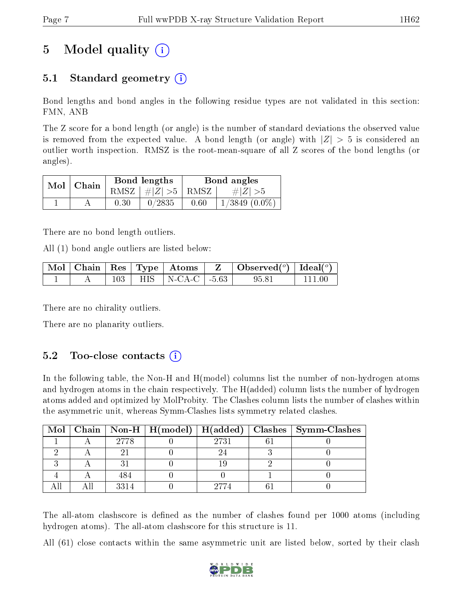## 5 Model quality  $(i)$

### 5.1 Standard geometry  $(i)$

Bond lengths and bond angles in the following residue types are not validated in this section: FMN, ANB

The Z score for a bond length (or angle) is the number of standard deviations the observed value is removed from the expected value. A bond length (or angle) with  $|Z| > 5$  is considered an outlier worth inspection. RMSZ is the root-mean-square of all Z scores of the bond lengths (or angles).

| $Mol$   Chain |      | Bond lengths                            |      | Bond angles        |
|---------------|------|-----------------------------------------|------|--------------------|
|               |      | RMSZ $\mid \#  Z  > 5 \mid$ RMSZ $\mid$ |      | $\# Z  > 5$        |
|               | 0.30 | 0/2835                                  | 0.60 | $1/3849$ $(0.0\%)$ |

There are no bond length outliers.

All (1) bond angle outliers are listed below:

|  |  |                              | $\mid$ Mol $\mid$ Chain $\mid$ Res $\mid$ Type $\mid$ Atoms $\mid$ Z $\mid$ Observed( <sup>o</sup> ) $\mid$ Ideal( <sup>o</sup> ) |  |
|--|--|------------------------------|-----------------------------------------------------------------------------------------------------------------------------------|--|
|  |  | $103$   HIS   N-CA-C   -5.63 | 95.81                                                                                                                             |  |

There are no chirality outliers.

There are no planarity outliers.

#### $5.2$  Too-close contacts  $(i)$

In the following table, the Non-H and H(model) columns list the number of non-hydrogen atoms and hydrogen atoms in the chain respectively. The H(added) column lists the number of hydrogen atoms added and optimized by MolProbity. The Clashes column lists the number of clashes within the asymmetric unit, whereas Symm-Clashes lists symmetry related clashes.

|  |      |      | Mol   Chain   Non-H   H(model)   H(added)   Clashes   Symm-Clashes |
|--|------|------|--------------------------------------------------------------------|
|  | 2778 | 2731 |                                                                    |
|  |      |      |                                                                    |
|  |      |      |                                                                    |
|  |      |      |                                                                    |
|  | 3314 |      |                                                                    |

The all-atom clashscore is defined as the number of clashes found per 1000 atoms (including hydrogen atoms). The all-atom clashscore for this structure is 11.

All (61) close contacts within the same asymmetric unit are listed below, sorted by their clash

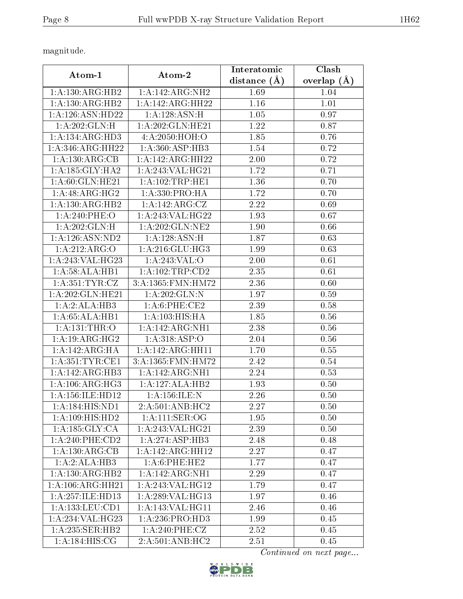magnitude.

|                                 |                       | Interatomic    | Clash           |  |
|---------------------------------|-----------------------|----------------|-----------------|--|
| Atom-1                          | Atom-2                | distance $(A)$ | overlap $(\AA)$ |  |
| 1:A:130:ARG:HB2                 | 1:A:142:ARG:NH2       | 1.69           | 1.04            |  |
| 1: A: 130: ARG: HB2             | 1:A:142:ARG:HH22      | 1.16           | 1.01            |  |
| 1:A:126:ASN:HD22                | 1: A: 128: ASN:H      | $1.05\,$       | 0.97            |  |
| 1: A:202: GLN: H                | 1: A:202: GLN: HE21   | 1.22           | 0.87            |  |
| 1: A:134: ARG:HD3               | 4:A:2050:HOH:O        | 1.85           | 0.76            |  |
| 1:A:346:ARG:HH22                | 1: A:360:ASP:HB3      | 1.54           | 0.72            |  |
| 1: A:130:ARG:CB                 | 1:A:142:ARG:HH22      | 2.00           | 0.72            |  |
| 1: A: 185: GLY: HA2             | 1:A:243:VAL:HG21      | 1.72           | 0.71            |  |
| 1: A:60: GLN: HE21              | 1: A: 102: TRP: HE1   | 1.36           | 0.70            |  |
| 1:A:48:ARG:HG2                  | 1: A: 330: PRO: HA    | 1.72           | 0.70            |  |
| 1: A: 130: ARG: HB2             | 1:A:142:ARG:CZ        | 2.22           | 0.69            |  |
| 1:A:240:PHE:O                   | $1:$ A:243:VAL:HG22   | 1.93           | 0.67            |  |
| 1:A:202:GLN:H                   | 1:A:202:GLN:NE2       | 1.90           | 0.66            |  |
| 1: A: 126: ASN: ND2             | 1: A: 128: ASN:H      | 1.87           | 0.63            |  |
| 1:A:212:ARG:O                   | 1: A:216: GLU:HG3     | 1.99           | 0.63            |  |
| 1:A:243:VAL:HG23                | 1:A:243:VAL:O         | 2.00           | 0.61            |  |
| 1:A:58:ALA:HB1                  | 1: A: 102: TRP: CD2   | 2.35           | 0.61            |  |
| 1: A:351: TYR: CZ               | 3:A:1365:FMN:HM72     | 2.36           | 0.60            |  |
| 1:A:202:GLN:HE21                | 1: A:202: GLN:N       | 1.97           | 0.59            |  |
| 1:A:2:ALA:HB3                   | 1: A:6: PHE:CE2       | 2.39           | 0.58            |  |
| 1:A:65:ALA:HB1                  | 1: A: 103: HIS: HA    | 1.85           | 0.56            |  |
| 1: A: 131: THR: O               | 1:A:142:ARG:NH1       | 2.38           | 0.56            |  |
| 1: A: 19: ARG: HG2              | 1:A:318:ASP:O         | 2.04           | 0.56            |  |
| 1:A:142:ARG:HA                  | 1:A:142:ARG:HH11      | 1.70           | 0.55            |  |
| 1: A:351:TYR:CE1                | 3: A: 1365: FMN: HM72 | 2.42           | 0.54            |  |
| 1:A:142:ARG:HB3                 | 1:A:142:ARG:NH1       | 2.24           | 0.53            |  |
| 1:A:106:ARG:HG3                 | 1:A:127:ALA:HB2       | 1.93           | 0.50            |  |
| 1: A: 156: ILE: HD12            | 1: A: 156: ILE:N      | 2.26           | 0.50            |  |
| 1:A:184:HIS:ND1                 | 2:A:501:ANB:HC2       | 2.27           | 0.50            |  |
| 1:A:109:HIS:HD2                 | 1: A:111: SER:OG      | 1.95           | 0.50            |  |
| 1: A: 185: GLY: CA              | 1:A:243:VAL:HG21      | 2.39           | 0.50            |  |
| $1:A:240:$ PHE: $CD2$           | 1:A:274:ASP:HB3       | 2.48           | 0.48            |  |
| 1: A:130: ARG:CB                | 1:A:142:ARG:HH12      | 2.27           | 0.47            |  |
| 1:A:2:ALA:HB3                   | 1: A:6: PHE: HE2      | 1.77           | 0.47            |  |
| 1:A:130:ARG:HB2                 | 1:A:142:ARG:NH1       | 2.29           | 0.47            |  |
| 1:A:106:ARG:HH21                | 1:A:243:VAL:HG12      | 1.79           | 0.47            |  |
| 1:A:257:ILE:HD13                | 1:A:289:VAL:HG13      | 1.97           | 0.46            |  |
| 1: A: 133: LEU: CD1             | 1:A:143:VAL:HG11      | 2.46           | 0.46            |  |
| 1:A:234:VAL:HG23                | 1:A:236:PRO:HD3       | 1.99           | 0.45            |  |
| 1: A:235: SER: HB2              | 1:A:240:PHE:CZ        | 2.52           | 0.45            |  |
| $1: A: 184: \overline{HIS: CG}$ | 2:A:501:ANB:HC2       | 2.51           | 0.45            |  |

Continued on next page...

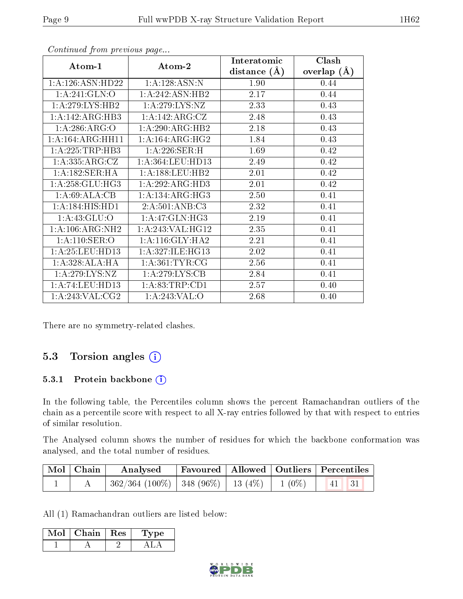|                                              |                     | Interatomic    | Clash         |  |
|----------------------------------------------|---------------------|----------------|---------------|--|
| Atom-1                                       | Atom-2              | distance $(A)$ | overlap $(A)$ |  |
| 1: A:126: ASN:HD22                           | 1:A:128:ASN:N       | 1.90           | 0.44          |  |
| 1:A:241:GLN:O                                | 1:A:242:ASN:HB2     | 2.17           | 0.44          |  |
| 1: A:279: LYS: HB2                           | 1: A:279: LYS: NZ   | 2.33           | 0.43          |  |
| 1:A:142:ARG:HB3                              | 1:A:142:ARG:CZ      | 2.48           | 0.43          |  |
| 1:A:286:ARG:O                                | 1:A:290:ARG:HB2     | 2.18           | 0.43          |  |
| 1:A:164:ARG:HH11                             | 1: A: 164: ARG: HG2 | 1.84           | 0.43          |  |
| 1:A:225:TRP:HB3                              | 1: A:226: SER:H     | 1.69           | 0.42          |  |
| 1:A:335:ARG:CZ                               | 1: A:364:LEU:HD13   | 2.49           | 0.42          |  |
| 1:A:182:SER:HA                               | 1: A: 188: LEU: HB2 | 2.01           | 0.42          |  |
| 1: A:258: GLU:HG3                            | 1: A:292: ARG:HD3   | 2.01           | 0.42          |  |
| 1:A:69:ALA:CB                                | 1:A:134:ARG:HG3     | 2.50           | 0.41          |  |
| 1:A:184:HIS:HD1                              | 2:A:501:ANB:C3      | 2.32           | 0.41          |  |
| 1: A:43: GLU:O                               | 1: A:47: GLN:HG3    | 2.19           | 0.41          |  |
| $1:A:106: \overline{\text{ARG}: \text{NH2}}$ | 1:A:243:VAL:HG12    | 2.35           | 0.41          |  |
| 1: A:110: SER:O                              | 1: A:116: GLY:HA2   | 2.21           | 0.41          |  |
| 1: A:25: LEU:HD13                            | 1:A:327:ILE:HG13    | 2.02           | 0.41          |  |
| 1: A:328:ALA:HA                              | 1: A:361:TYR:CG     | 2.56           | 0.41          |  |
| 1:A:279:LYS:NZ                               | 1:A:279:LYS:CB      | 2.84           | 0.41          |  |
| 1:A:74:LEU:HD13                              | 1: A:83:TRP:CD1     | 2.57           | 0.40          |  |
| 1: A:243: VAL: CG2                           | 1:A:243:VAL:O       | 2.68           | 0.40          |  |

Continued from previous page...

There are no symmetry-related clashes.

#### 5.3 Torsion angles (i)

#### 5.3.1 Protein backbone (i)

In the following table, the Percentiles column shows the percent Ramachandran outliers of the chain as a percentile score with respect to all X-ray entries followed by that with respect to entries of similar resolution.

The Analysed column shows the number of residues for which the backbone conformation was analysed, and the total number of residues.

| Mol   Chain | Analysed                                                    | Favoured   Allowed   Outliers   Percentiles |  |  |  |
|-------------|-------------------------------------------------------------|---------------------------------------------|--|--|--|
|             | $362/364$ (100\%)   348 (96\%)   13 (4\%)   1 (0\%)   41 31 |                                             |  |  |  |

All (1) Ramachandran outliers are listed below:

| Mol | Chain | Res | pe. |  |
|-----|-------|-----|-----|--|
|     |       |     |     |  |

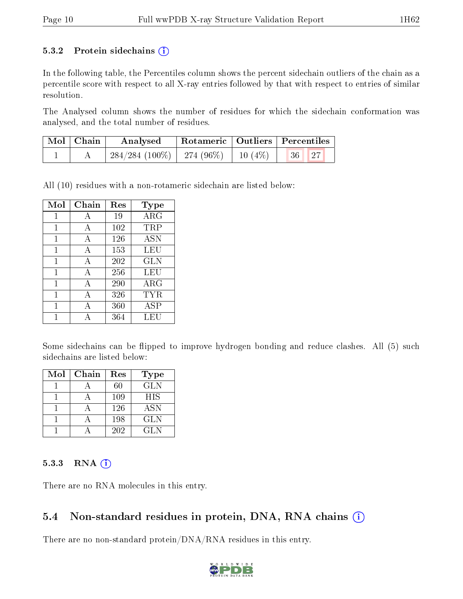#### 5.3.2 Protein sidechains  $(i)$

In the following table, the Percentiles column shows the percent sidechain outliers of the chain as a percentile score with respect to all X-ray entries followed by that with respect to entries of similar resolution.

The Analysed column shows the number of residues for which the sidechain conformation was analysed, and the total number of residues.

| $\mid$ Mol $\mid$ Chain | Analysed                                  | Rotameric   Outliers   Percentiles |  |                                 |  |
|-------------------------|-------------------------------------------|------------------------------------|--|---------------------------------|--|
|                         | $284/284$ (100\%)   274 (96\%)   10 (4\%) |                                    |  | $\vert 36 \vert \vert 27 \vert$ |  |

All (10) residues with a non-rotameric sidechain are listed below:

| Mol          | Chain | Res | <b>Type</b> |
|--------------|-------|-----|-------------|
| 1            | Α     | 19  | $\rm{ARG}$  |
| 1            | А     | 102 | TRP         |
| 1            | А     | 126 | <b>ASN</b>  |
| 1            | А     | 153 | LEU         |
| $\mathbf{1}$ | А     | 202 | <b>GLN</b>  |
| 1            | А     | 256 | LEU         |
| 1            | А     | 290 | ${\rm ARG}$ |
| 1            | А     | 326 | TYR         |
| 1            | А     | 360 | <b>ASP</b>  |
|              | Δ     | 364 | LEU         |

Some sidechains can be flipped to improve hydrogen bonding and reduce clashes. All (5) such sidechains are listed below:

| Mol | Chain | Res | <b>Type</b> |
|-----|-------|-----|-------------|
|     |       | 60  | <b>GLN</b>  |
|     |       | 109 | <b>HIS</b>  |
|     |       | 126 | <b>ASN</b>  |
|     |       | 198 | <b>GLN</b>  |
|     |       | 202 | GLN.        |

#### $5.3.3$  RNA  $(i)$

There are no RNA molecules in this entry.

#### 5.4 Non-standard residues in protein, DNA, RNA chains  $(i)$

There are no non-standard protein/DNA/RNA residues in this entry.

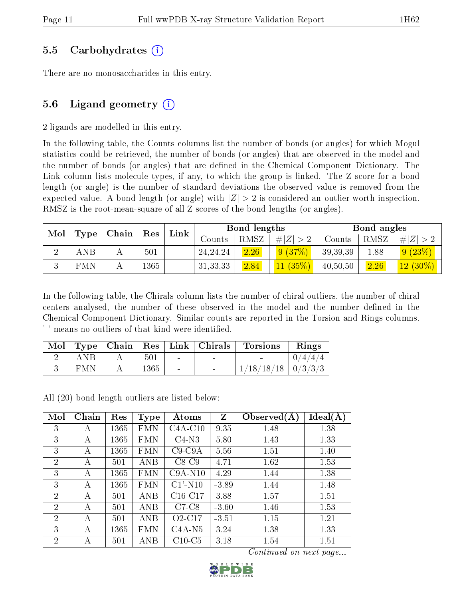#### 5.5 Carbohydrates (i)

There are no monosaccharides in this entry.

#### 5.6 Ligand geometry  $(i)$

2 ligands are modelled in this entry.

In the following table, the Counts columns list the number of bonds (or angles) for which Mogul statistics could be retrieved, the number of bonds (or angles) that are observed in the model and the number of bonds (or angles) that are defined in the Chemical Component Dictionary. The Link column lists molecule types, if any, to which the group is linked. The Z score for a bond length (or angle) is the number of standard deviations the observed value is removed from the expected value. A bond length (or angle) with  $|Z| > 2$  is considered an outlier worth inspection. RMSZ is the root-mean-square of all Z scores of the bond lengths (or angles).

| Mol | Chain<br>Res |  | Link | Bond lengths |            |      | Bond angles |          |      |             |
|-----|--------------|--|------|--------------|------------|------|-------------|----------|------|-------------|
|     | Type         |  |      |              | Counts     | RMSZ | H Z         | Counts   | RMSZ | # $ Z  > 2$ |
|     | <b>ANB</b>   |  | 501  | $\sim$       | 24, 24, 24 | 2.26 | 9(37%)      | 39,39,39 | 1.88 | 9(23%)      |
|     | <b>FMN</b>   |  | 1365 | $\sim$       | 31, 33, 33 | 2.84 | $11(35\%)$  | 40,50,50 | 2.26 | $12(30\%)$  |

In the following table, the Chirals column lists the number of chiral outliers, the number of chiral centers analysed, the number of these observed in the model and the number defined in the Chemical Component Dictionary. Similar counts are reported in the Torsion and Rings columns. '-' means no outliers of that kind were identified.

| Mol |            |      |                              | $\top$ Type   Chain   Res   Link   Chirals | <b>Torsions</b>          | Rings                  |
|-----|------------|------|------------------------------|--------------------------------------------|--------------------------|------------------------|
|     | ANB        | 501  | $\sim$                       | $\sim$                                     |                          | 4/4<br>$^{\prime}$ 4 / |
|     | <b>FMN</b> | 1365 | $\qquad \qquad \blacksquare$ |                                            | $1/18/18/18$   $0/3/3/3$ |                        |

All (20) bond length outliers are listed below:

| Mol            | Chain | Res  | <b>Type</b> | Atoms                  | Z       | Observed $(A)$ | Ideal(A) |
|----------------|-------|------|-------------|------------------------|---------|----------------|----------|
| 3              | А     | 1365 | <b>FMN</b>  | $C4A-C10$              | 9.35    | 1.48           | 1.38     |
| 3              | А     | 1365 | <b>FMN</b>  | $C4-N3$                | 5.80    | 1.43           | 1.33     |
| 3              | А     | 1365 | <b>FMN</b>  | $C9-C9A$               | 5.56    | 1.51           | 1.40     |
| $\overline{2}$ | A     | 501  | ANB         | $C8-C9$                | 4.71    | 1.62           | 1.53     |
| 3              | А     | 1365 | FMN         | $C9A-N10$              | 4.29    | 1.44           | 1.38     |
| 3              | А     | 1365 | <b>FMN</b>  | $C1'$ -N <sub>10</sub> | $-3.89$ | 1.44           | 1.48     |
| $\overline{2}$ | А     | 501  | ANB         | $C16-C17$              | 3.88    | 1.57           | 1.51     |
| $\overline{2}$ | А     | 501  | ANB         | $C7-C8$                | $-3.60$ | 1.46           | 1.53     |
| $\overline{2}$ | А     | 501  | <b>ANB</b>  | $O2-C17$               | $-3.51$ | 1.15           | 1.21     |
| 3              | А     | 1365 | FMN         | $C4A-N5$               | 3.24    | 1.38           | 1.33     |
| $\overline{2}$ | А     | 501  | ANB         | $C10-C5$               | 3.18    | 1.54           | 1.51     |

Continued on next page...

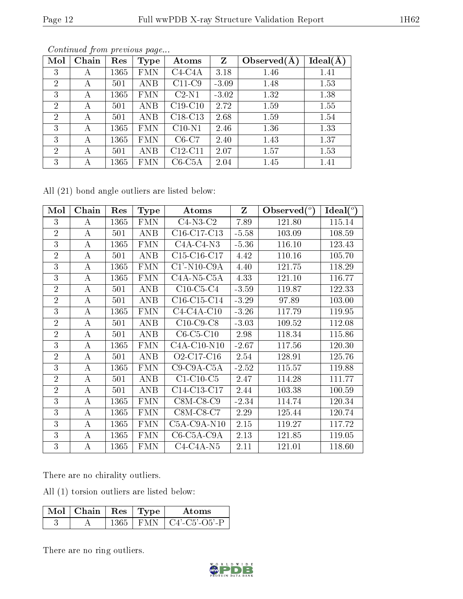|--|

| Mol            | Chain | Res  | Type       | Atoms     | Z       | Observed $(A)$ | Ideal(A) |
|----------------|-------|------|------------|-----------|---------|----------------|----------|
| 3              | А     | 1365 | <b>FMN</b> | $C4-C4A$  | 3.18    | 1.46           | 1.41     |
| $\overline{2}$ | А     | 501  | <b>ANB</b> | $C11-C9$  | $-3.09$ | 1.48           | 1.53     |
| 3              | А     | 1365 | <b>FMN</b> | $C2-N1$   | $-3.02$ | 1.32           | 1.38     |
| $\overline{2}$ | А     | 501  | ANB        | $C19-C10$ | 2.72    | 1.59           | 1.55     |
| $\overline{2}$ | А     | 501  | ANB        | $C18-C13$ | 2.68    | 1.59           | 1.54     |
| 3              | А     | 1365 | <b>FMN</b> | $C10-N1$  | 2.46    | 1.36           | 1.33     |
| 3              | А     | 1365 | <b>FMN</b> | $C6-C7$   | 2.40    | 1.43           | 1.37     |
| $\overline{2}$ | А     | 501  | ANB        | $C12-C11$ | 2.07    | 1.57           | 1.53     |
| 3              | А     | 1365 | FMN        | $C6-C5A$  | 2.04    | 1.45           | 1.41     |

Continued from previous page...

All (21) bond angle outliers are listed below:

| Mol            | Chain            | Res  | <b>Type</b>       | Atoms                                            | Z       | Observed $(°)$ | Ideal $(^\circ)$ |
|----------------|------------------|------|-------------------|--------------------------------------------------|---------|----------------|------------------|
| 3              | A                | 1365 | <b>FMN</b>        | $C4-N3-C2$                                       | 7.89    | 121.80         | 115.14           |
| $\overline{2}$ | $\boldsymbol{A}$ | 501  | <b>ANB</b>        | C16-C17-C13                                      | $-5.58$ | 103.09         | 108.59           |
| 3              | $\bf{A}$         | 1365 | <b>FMN</b>        | $C4A-C4-N3$                                      | $-5.36$ | 116.10         | 123.43           |
| $\overline{2}$ | A                | 501  | <b>ANB</b>        | $C15-C16-C17$                                    | 4.42    | 110.16         | 105.70           |
| 3              | A                | 1365 | <b>FMN</b>        | $C1'$ -N <sub>10</sub> -C <sub>9</sub> A         | 4.40    | 121.75         | 118.29           |
| 3              | А                | 1365 | <b>FMN</b>        | $C4A-N5-C5A$                                     | 4.33    | 121.10         | 116.77           |
| $\overline{2}$ | A                | 501  | <b>ANB</b>        | $C10$ -C5-C4                                     | $-3.59$ | 119.87         | 122.33           |
| $\overline{2}$ | $\boldsymbol{A}$ | 501  | <b>ANB</b>        | $C16-C15-C14$                                    | $-3.29$ | 97.89          | 103.00           |
| 3              | $\boldsymbol{A}$ | 1365 | <b>FMN</b>        | $C4-C4A-C10$                                     | $-3.26$ | 117.79         | 119.95           |
| $\overline{2}$ | A                | 501  | <b>ANB</b>        | $C10$ -C9-C8                                     | $-3.03$ | 109.52         | 112.08           |
| $\overline{2}$ | $\boldsymbol{A}$ | 501  | <b>ANB</b>        | $C6-C5-C10$                                      | 2.98    | 118.34         | 115.86           |
| 3              | А                | 1365 | <b>FMN</b>        | $C4A-C10-N10$                                    | $-2.67$ | 117.56         | 120.30           |
| $\overline{2}$ | $\bf{A}$         | 501  | <b>ANB</b>        | O <sub>2</sub> -C <sub>17</sub> -C <sub>16</sub> | 2.54    | 128.91         | 125.76           |
| 3              | A                | 1365 | <b>FMN</b>        | $C9-C9A-C5A$                                     | $-2.52$ | 115.57         | 119.88           |
| $\overline{2}$ | А                | 501  | <b>ANB</b>        | $C1-C10-C5$                                      | 2.47    | 114.28         | 111.77           |
| $\overline{2}$ | $\bf{A}$         | 501  | <b>ANB</b>        | $\overline{\text{C}}$ 14-C13-C17                 | 2.44    | 103.38         | 100.59           |
| 3              | $\bf{A}$         | 1365 | <b>FMN</b>        | $C8M-C8-C9$                                      | $-2.34$ | 114.74         | 120.34           |
| 3              | A                | 1365 | <b>FMN</b>        | $C8M-C8-C7$                                      | 2.29    | 125.44         | 120.74           |
| 3              | $\mathbf{A}$     | 1365 | $\overline{F}$ MN | $C5A-C9A-N10$                                    | 2.15    | 119.27         | 117.72           |
| 3              | $\bf{A}$         | 1365 | <b>FMN</b>        | $C6-C5A-C9A$                                     | 2.13    | 121.85         | 119.05           |
| 3              | А                | 1365 | <b>FMN</b>        | $C4-C4A-N5$                                      | 2.11    | 121.01         | 118.60           |

There are no chirality outliers.

All (1) torsion outliers are listed below:

| $\sqrt{\text{Mol}}$   Chain   Res   Type <sup>+</sup> |          |         | Atoms                      |
|-------------------------------------------------------|----------|---------|----------------------------|
|                                                       | $1365 -$ | I FMN - | $\overline{C4'$ -C5'-O5'-P |

There are no ring outliers.

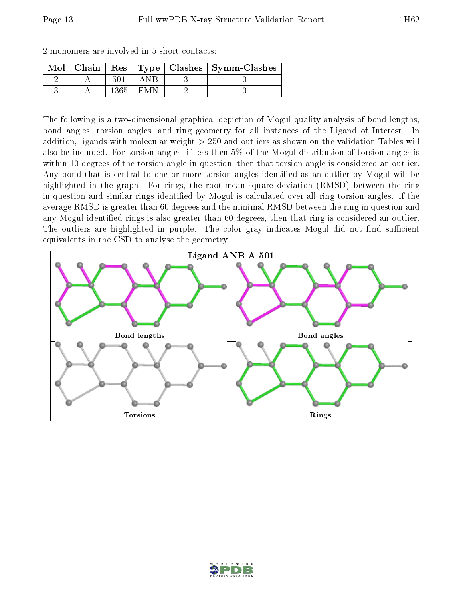| $\operatorname{Mol} \parallel$ | Chain |    |  | Res   Type   Clashes   Symm-Clashes |
|--------------------------------|-------|----|--|-------------------------------------|
|                                |       | 50 |  |                                     |
|                                |       |    |  |                                     |

2 monomers are involved in 5 short contacts:

The following is a two-dimensional graphical depiction of Mogul quality analysis of bond lengths, bond angles, torsion angles, and ring geometry for all instances of the Ligand of Interest. In addition, ligands with molecular weight > 250 and outliers as shown on the validation Tables will also be included. For torsion angles, if less then 5% of the Mogul distribution of torsion angles is within 10 degrees of the torsion angle in question, then that torsion angle is considered an outlier. Any bond that is central to one or more torsion angles identified as an outlier by Mogul will be highlighted in the graph. For rings, the root-mean-square deviation (RMSD) between the ring in question and similar rings identified by Mogul is calculated over all ring torsion angles. If the average RMSD is greater than 60 degrees and the minimal RMSD between the ring in question and any Mogul-identified rings is also greater than 60 degrees, then that ring is considered an outlier. The outliers are highlighted in purple. The color gray indicates Mogul did not find sufficient equivalents in the CSD to analyse the geometry.



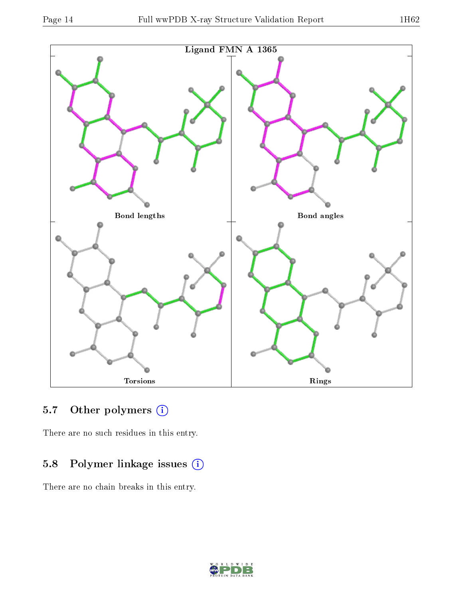

### 5.7 [O](https://www.wwpdb.org/validation/2017/XrayValidationReportHelp#nonstandard_residues_and_ligands)ther polymers (i)

There are no such residues in this entry.

### 5.8 Polymer linkage issues (i)

There are no chain breaks in this entry.

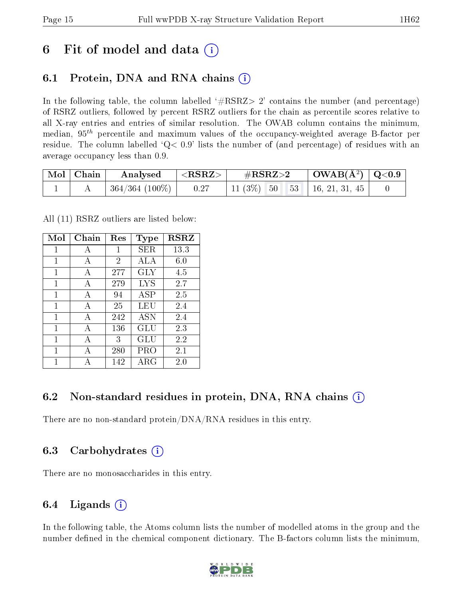## 6 Fit of model and data  $\left( \cdot \right)$

### 6.1 Protein, DNA and RNA chains (i)

In the following table, the column labelled  $#RSRZ> 2'$  contains the number (and percentage) of RSRZ outliers, followed by percent RSRZ outliers for the chain as percentile scores relative to all X-ray entries and entries of similar resolution. The OWAB column contains the minimum, median,  $95<sup>th</sup>$  percentile and maximum values of the occupancy-weighted average B-factor per residue. The column labelled  $Q< 0.9$  lists the number of (and percentage) of residues with an average occupancy less than 0.9.

| $\mid$ Mol $\mid$ Chain $\mid$ | Analysed                      | $^\circ$ <rsrz></rsrz> | $\#\text{RSRZ}{>}2$                 | $\mid$ OWAB(Å <sup>2</sup> ) $\mid$ Q<0.9 $\mid$ |  |
|--------------------------------|-------------------------------|------------------------|-------------------------------------|--------------------------------------------------|--|
|                                | $\mid 364/364 \;(100\%) \mid$ | 0.27                   | 11 (3\%) 50 \ 53 \ 16, 21, 31, 45 \ |                                                  |  |

All (11) RSRZ outliers are listed below:

| Mol | Chain | Res            | Type              | $_{\rm RSRZ}$ |
|-----|-------|----------------|-------------------|---------------|
| 1   | А     | 1              | SER               | 13.3          |
| 1   | A     | $\overline{2}$ | ALA               | 6.0           |
| 1   | A     | 277            | <b>GLY</b>        | 4.5           |
| 1   | A     | 279            | $_{\mathrm{LYS}}$ | 2.7           |
| 1   | A     | 94             | <b>ASP</b>        | 2.5           |
| 1   | А     | 25             | LEU               | 2.4           |
| 1   | A     | 242            | <b>ASN</b>        | 2.4           |
| 1   | A     | 136            | GLU               | 2.3           |
| 1   | A     | 3              | GLU               | 2.2           |
| 1   | A     | 280            | PRO               | 2.1           |
|     |       | 142            | ${\rm ARG}$       | 2.0           |

#### 6.2 Non-standard residues in protein, DNA, RNA chains (i)

There are no non-standard protein/DNA/RNA residues in this entry.

#### 6.3 Carbohydrates (i)

There are no monosaccharides in this entry.

#### 6.4 Ligands  $(i)$

In the following table, the Atoms column lists the number of modelled atoms in the group and the number defined in the chemical component dictionary. The B-factors column lists the minimum,

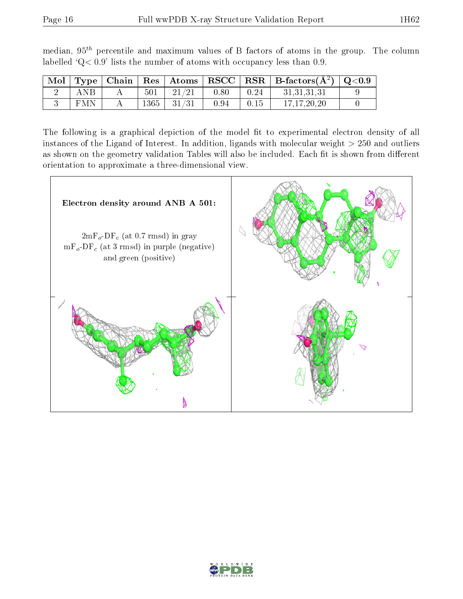|            |      |                 |      |      | $\mid$ Mol $\mid$ Type $\mid$ Chain $\mid$ Res $\mid$ Atoms $\mid$ RSCC $\mid$ RSR $\mid$ B-factors(A <sup>2</sup> ) $\mid$ Q<0.9 |  |
|------------|------|-----------------|------|------|-----------------------------------------------------------------------------------------------------------------------------------|--|
| ANB        | 501  | 21/21           | 0.80 | 0.24 | 31,31,31,31                                                                                                                       |  |
| <b>FMN</b> | 1365 | $\frac{31}{31}$ | 0.94 | 0.15 | 17.17.20.20                                                                                                                       |  |

median,  $95<sup>th</sup>$  percentile and maximum values of B factors of atoms in the group. The column labelled ' $Q< 0.9$ ' lists the number of atoms with occupancy less than 0.9.

The following is a graphical depiction of the model fit to experimental electron density of all instances of the Ligand of Interest. In addition, ligands with molecular weight  $> 250$  and outliers as shown on the geometry validation Tables will also be included. Each fit is shown from different orientation to approximate a three-dimensional view.